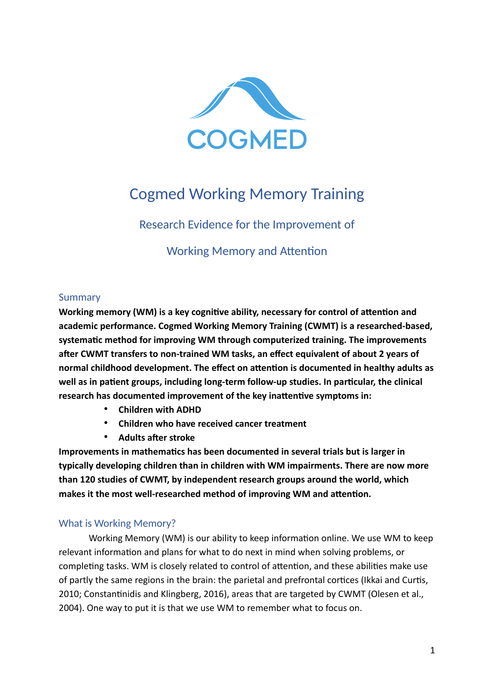

# Cogmed Working Memory Training

Research Evidence for the Improvement of

Working Memory and Attention

## Summary

**Working memory (WM) is a key cognitive ability, necessary for control of attention and academic performance. Cogmed Working Memory Training (CWMT) is a researched-based, systematic method for improving WM through computerized training. The improvements after CWMT transfers to non-trained WM tasks, an effect equivalent of about 2 years of normal childhood development. The effect on attention is documented in healthy adults as well as in patient groups, including long-term follow-up studies. In particular, the clinical research has documented improvement of the key inattentive symptoms in:** 

- **Children with ADHD**
- **Children who have received cancer treatment**
- **Adults after stroke**

**Improvements in mathematics has been documented in several trials but is larger in typically developing children than in children with WM impairments. There are now more than 120 studies of CWMT, by independent research groups around the world, which makes it the most well-researched method of improving WM and attention.**

## What is Working Memory?

Working Memory (WM) is our ability to keep information online. We use WM to keep relevant information and plans for what to do next in mind when solving problems, or completing tasks. WM is closely related to control of attention, and these abilities make use of partly the same regions in the brain: the parietal and prefrontal cortices (Ikkai and Curtis, 2010; Constantinidis and Klingberg, 2016), areas that are targeted by CWMT (Olesen et al., 2004). One way to put it is that we use WM to remember what to focus on.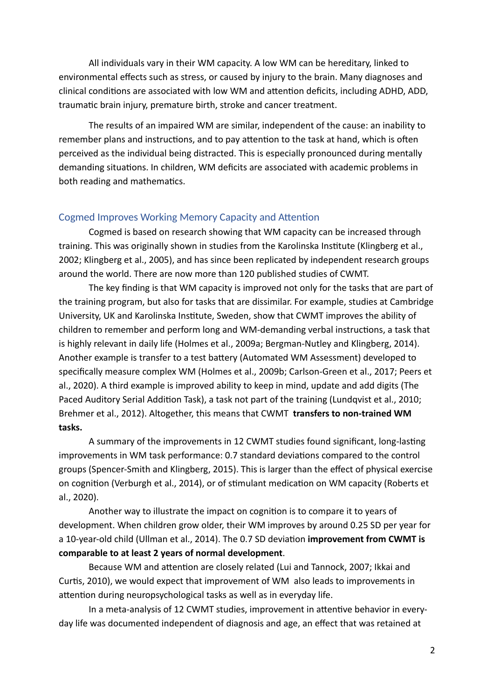All individuals vary in their WM capacity. A low WM can be hereditary, linked to environmental effects such as stress, or caused by injury to the brain. Many diagnoses and clinical conditions are associated with low WM and attention deficits, including ADHD, ADD, traumatic brain injury, premature birth, stroke and cancer treatment.

The results of an impaired WM are similar, independent of the cause: an inability to remember plans and instructions, and to pay attention to the task at hand, which is often perceived as the individual being distracted. This is especially pronounced during mentally demanding situations. In children, WM deficits are associated with academic problems in both reading and mathematics.

#### Cogmed Improves Working Memory Capacity and Attention

Cogmed is based on research showing that WM capacity can be increased through training. This was originally shown in studies from the Karolinska Institute (Klingberg et al., 2002; Klingberg et al., 2005), and has since been replicated by independent research groups around the world. There are now more than 120 published studies of CWMT.

The key finding is that WM capacity is improved not only for the tasks that are part of the training program, but also for tasks that are dissimilar. For example, studies at Cambridge University, UK and Karolinska Institute, Sweden, show that CWMT improves the ability of children to remember and perform long and WM-demanding verbal instructions, a task that is highly relevant in daily life (Holmes et al., 2009a; Bergman-Nutley and Klingberg, 2014). Another example is transfer to a test battery (Automated WM Assessment) developed to specifically measure complex WM (Holmes et al., 2009b; Carlson-Green et al., 2017; Peers et al., 2020). A third example is improved ability to keep in mind, update and add digits (The Paced Auditory Serial Addition Task), a task not part of the training (Lundqvist et al., 2010; Brehmer et al., 2012). Altogether, this means that CWMT **transfers to non-trained WM tasks.**

A summary of the improvements in 12 CWMT studies found significant, long-lasting improvements in WM task performance: 0.7 standard deviations compared to the control groups (Spencer-Smith and Klingberg, 2015). This is larger than the effect of physical exercise on cognition (Verburgh et al., 2014), or of stimulant medication on WM capacity (Roberts et al., 2020).

Another way to illustrate the impact on cognition is to compare it to years of development. When children grow older, their WM improves by around 0.25 SD per year for a 10-year-old child (Ullman et al., 2014). The 0.7 SD deviation **improvement from CWMT is comparable to at least 2 years of normal development**.

Because WM and attention are closely related (Lui and Tannock, 2007; Ikkai and Curtis, 2010), we would expect that improvement of WM also leads to improvements in attention during neuropsychological tasks as well as in everyday life.

In a meta-analysis of 12 CWMT studies, improvement in attentive behavior in everyday life was documented independent of diagnosis and age, an effect that was retained at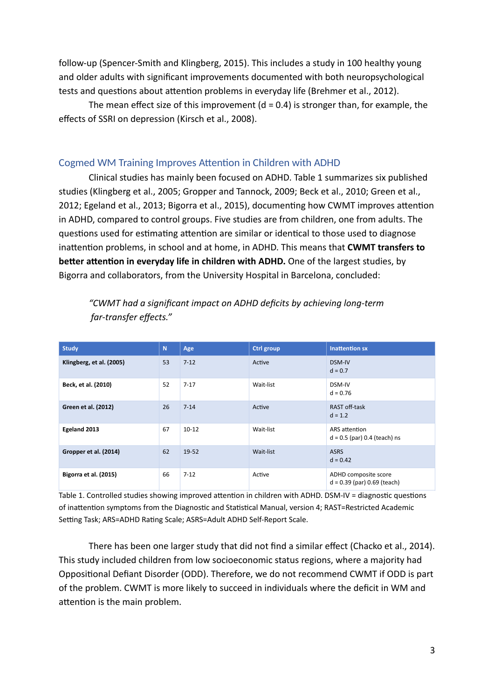follow-up (Spencer-Smith and Klingberg, 2015). This includes a study in 100 healthy young and older adults with significant improvements documented with both neuropsychological tests and questions about attention problems in everyday life (Brehmer et al., 2012).

The mean effect size of this improvement  $(d = 0.4)$  is stronger than, for example, the effects of SSRI on depression (Kirsch et al., 2008).

#### Cogmed WM Training Improves Attention in Children with ADHD

Clinical studies has mainly been focused on ADHD. Table 1 summarizes six published studies (Klingberg et al., 2005; Gropper and Tannock, 2009; Beck et al., 2010; Green et al., 2012; Egeland et al., 2013; Bigorra et al., 2015), documenting how CWMT improves attention in ADHD, compared to control groups. Five studies are from children, one from adults. The questions used for estimating attention are similar or identical to those used to diagnose inattention problems, in school and at home, in ADHD. This means that **CWMT transfers to better attention in everyday life in children with ADHD.** One of the largest studies, by Bigorra and collaborators, from the University Hospital in Barcelona, concluded:

| <b>Study</b>             | N  | Age       | <b>Ctrl group</b> | <b>Inattention sx</b>                                 |
|--------------------------|----|-----------|-------------------|-------------------------------------------------------|
| Klingberg, et al. (2005) | 53 | $7 - 12$  | Active            | DSM-IV<br>$d = 0.7$                                   |
| Beck, et al. (2010)      | 52 | $7 - 17$  | Wait-list         | DSM-IV<br>$d = 0.76$                                  |
| Green et al. (2012)      | 26 | $7 - 14$  | Active            | RAST off-task<br>$d = 1.2$                            |
| Egeland 2013             | 67 | $10 - 12$ | Wait-list         | ARS attention<br>$d = 0.5$ (par) 0.4 (teach) ns       |
| Gropper et al. (2014)    | 62 | 19-52     | Wait-list         | <b>ASRS</b><br>$d = 0.42$                             |
| Bigorra et al. (2015)    | 66 | $7 - 12$  | Active            | ADHD composite score<br>$d = 0.39$ (par) 0.69 (teach) |

*"CWMT had a significant impact on ADHD deficits by achieving long-term far-transfer effects."*

Table 1. Controlled studies showing improved attention in children with ADHD. DSM-IV = diagnostic questions of inattention symptoms from the Diagnostic and Statistical Manual, version 4; RAST=Restricted Academic Setting Task; ARS=ADHD Rating Scale; ASRS=Adult ADHD Self-Report Scale.

There has been one larger study that did not find a similar effect (Chacko et al., 2014). This study included children from low socioeconomic status regions, where a majority had Oppositional Defiant Disorder (ODD). Therefore, we do not recommend CWMT if ODD is part of the problem. CWMT is more likely to succeed in individuals where the deficit in WM and attention is the main problem.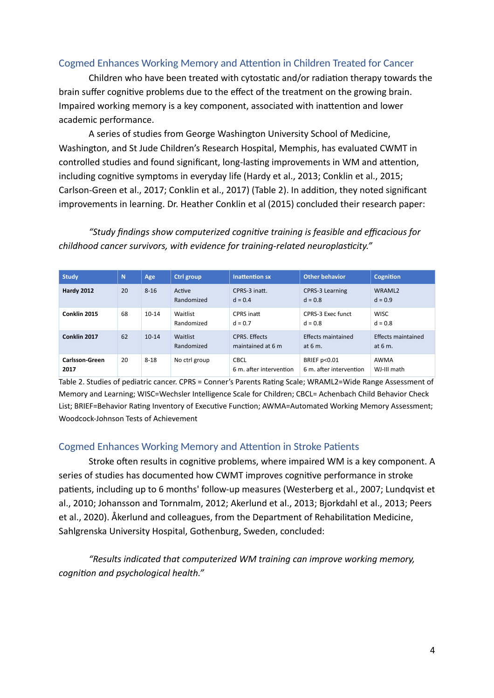## Cogmed Enhances Working Memory and Attention in Children Treated for Cancer

Children who have been treated with cytostatic and/or radiation therapy towards the brain suffer cognitive problems due to the effect of the treatment on the growing brain. Impaired working memory is a key component, associated with inattention and lower academic performance.

A series of studies from George Washington University School of Medicine, Washington, and St Jude Children's Research Hospital, Memphis, has evaluated CWMT in controlled studies and found significant, long-lasting improvements in WM and attention, including cognitive symptoms in everyday life (Hardy et al., 2013; Conklin et al., 2015; Carlson-Green et al., 2017; Conklin et al., 2017) (Table 2). In addition, they noted significant improvements in learning. Dr. Heather Conklin et al (2015) concluded their research paper:

*"Study findings show computerized cognitive training is feasible and efficacious for childhood cancer survivors, with evidence for training-related neuroplasticity."*

| <b>Study</b>                  | N  | Age       | <b>Ctrl group</b>      | <b>Inattention sx</b>                     | <b>Other behavior</b>                             | <b>Cognition</b>                |
|-------------------------------|----|-----------|------------------------|-------------------------------------------|---------------------------------------------------|---------------------------------|
| <b>Hardy 2012</b>             | 20 | $8 - 16$  | Active<br>Randomized   | CPRS-3 inatt.<br>$d = 0.4$                | <b>CPRS-3 Learning</b><br>$d = 0.8$               | WRAML <sub>2</sub><br>$d = 0.9$ |
| Conklin 2015                  | 68 | $10 - 14$ | Waitlist<br>Randomized | CPRS inatt<br>$d = 0.7$                   | CPRS-3 Exec funct<br>$d = 0.8$                    | <b>WISC</b><br>$d = 0.8$        |
| Conklin 2017                  | 62 | $10-14$   | Waitlist<br>Randomized | <b>CPRS. Effects</b><br>maintained at 6 m | Effects maintained<br>at $6m$ .                   | Effects maintained<br>at $6m$ . |
| <b>Carlsson-Green</b><br>2017 | 20 | $8 - 18$  | No ctrl group          | <b>CBCL</b><br>6 m. after intervention    | <b>BRIEF p&lt;0.01</b><br>6 m. after intervention | AWMA<br>WJ-III math             |

Table 2. Studies of pediatric cancer. CPRS = Conner's Parents Rating Scale; WRAML2=Wide Range Assessment of Memory and Learning; WISC=Wechsler Intelligence Scale for Children; CBCL= Achenbach Child Behavior Check List; BRIEF=Behavior Rating Inventory of Executive Function; AWMA=Automated Working Memory Assessment; Woodcock-Johnson Tests of Achievement

#### Cogmed Enhances Working Memory and Attention in Stroke Patients

Stroke often results in cognitive problems, where impaired WM is a key component. A series of studies has documented how CWMT improves cognitive performance in stroke patients, including up to 6 months' follow-up measures (Westerberg et al., 2007; Lundqvist et al., 2010; Johansson and Tornmalm, 2012; Akerlund et al., 2013; Bjorkdahl et al., 2013; Peers et al., 2020). Åkerlund and colleagues, from the Department of Rehabilitation Medicine, Sahlgrenska University Hospital, Gothenburg, Sweden, concluded:

*"Results indicated that computerized WM training can improve working memory, cognition and psychological health."*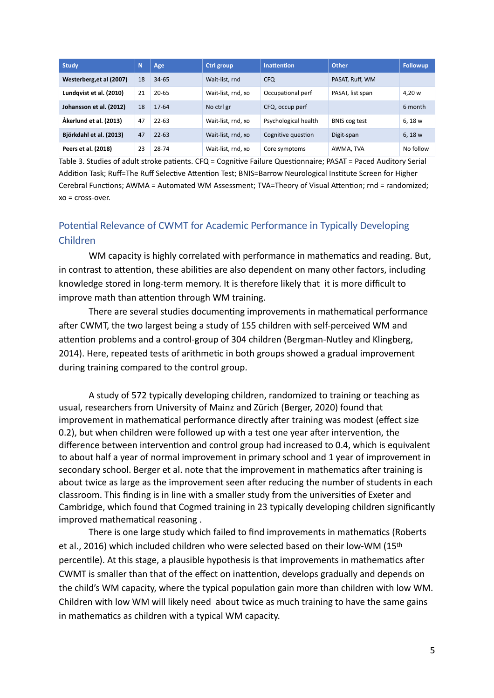| <b>Study</b>             | N  | Age       | Ctrl group         | <b>Inattention</b>   | <b>Other</b>         | <b>Followup</b> |
|--------------------------|----|-----------|--------------------|----------------------|----------------------|-----------------|
| Westerberg, et al (2007) | 18 | $34 - 65$ | Wait-list, rnd     | <b>CFQ</b>           | PASAT, Ruff, WM      |                 |
| Lundqvist et al. (2010)  | 21 | $20 - 65$ | Wait-list, rnd, xo | Occupational perf    | PASAT, list span     | 4,20 w          |
| Johansson et al. (2012)  | 18 | 17-64     | No ctrl gr         | CFQ, occup perf      |                      | 6 month         |
| Åkerlund et al. (2013)   | 47 | $22 - 63$ | Wait-list, rnd, xo | Psychological health | <b>BNIS cog test</b> | 6, 18 w         |
| Björkdahl et al. (2013)  | 47 | $22 - 63$ | Wait-list, rnd, xo | Cognitive question   | Digit-span           | 6, 18 w         |
| Peers et al. (2018)      | 23 | 28-74     | Wait-list, rnd, xo | Core symptoms        | AWMA, TVA            | No follow       |

Table 3. Studies of adult stroke patients. CFQ = Cognitive Failure Questionnaire; PASAT = Paced Auditory Serial Addition Task; Ruff=The Ruff Selective Attention Test; BNIS=Barrow Neurological Institute Screen for Higher Cerebral Functions; AWMA = Automated WM Assessment; TVA=Theory of Visual Attention; rnd = randomized; xo = cross-over.

# Potential Relevance of CWMT for Academic Performance in Typically Developing Children

WM capacity is highly correlated with performance in mathematics and reading. But, in contrast to attention, these abilities are also dependent on many other factors, including knowledge stored in long-term memory. It is therefore likely that it is more difficult to improve math than attention through WM training.

There are several studies documenting improvements in mathematical performance after CWMT, the two largest being a study of 155 children with self-perceived WM and attention problems and a control-group of 304 children (Bergman-Nutley and Klingberg, 2014). Here, repeated tests of arithmetic in both groups showed a gradual improvement during training compared to the control group.

A study of 572 typically developing children, randomized to training or teaching as usual, researchers from University of Mainz and Zürich (Berger, 2020) found that improvement in mathematical performance directly after training was modest (effect size 0.2), but when children were followed up with a test one year after intervention, the difference between intervention and control group had increased to 0.4, which is equivalent to about half a year of normal improvement in primary school and 1 year of improvement in secondary school. Berger et al. note that the improvement in mathematics after training is about twice as large as the improvement seen after reducing the number of students in each classroom. This finding is in line with a smaller study from the universities of Exeter and Cambridge, which found that Cogmed training in 23 typically developing children significantly improved mathematical reasoning .

There is one large study which failed to find improvements in mathematics (Roberts et al., 2016) which included children who were selected based on their low-WM (15th percentile). At this stage, a plausible hypothesis is that improvements in mathematics after CWMT is smaller than that of the effect on inattention, develops gradually and depends on the child's WM capacity, where the typical population gain more than children with low WM. Children with low WM will likely need about twice as much training to have the same gains in mathematics as children with a typical WM capacity.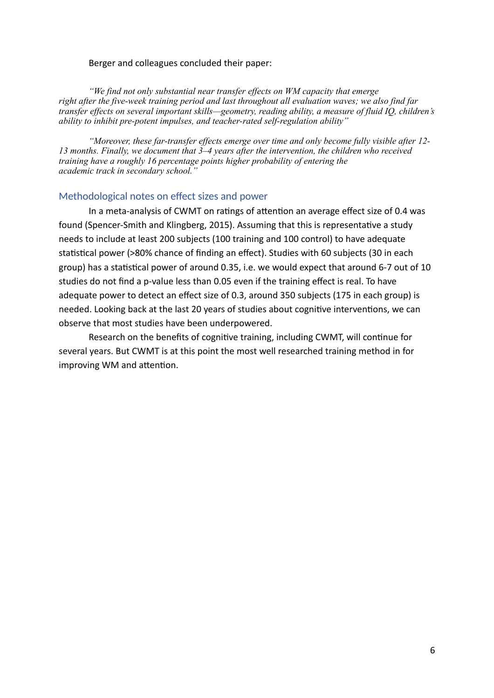#### Berger and colleagues concluded their paper:

*"We find not only substantial near transfer effects on WM capacity that emerge right after the five-week training period and last throughout all evaluation waves; we also find far transfer effects on several important skills—geometry, reading ability, a measure of fluid IQ, children's ability to inhibit pre-potent impulses, and teacher-rated self-regulation ability"*

*"Moreover, these far-transfer effects emerge over time and only become fully visible after 12- 13 months. Finally, we document that 3–4 years after the intervention, the children who received training have a roughly 16 percentage points higher probability of entering the academic track in secondary school."*

#### Methodological notes on effect sizes and power

In a meta-analysis of CWMT on ratings of attention an average effect size of 0.4 was found (Spencer-Smith and Klingberg, 2015). Assuming that this is representative a study needs to include at least 200 subjects (100 training and 100 control) to have adequate statistical power (>80% chance of finding an effect). Studies with 60 subjects (30 in each group) has a statistical power of around 0.35, i.e. we would expect that around 6-7 out of 10 studies do not find a p-value less than 0.05 even if the training effect is real. To have adequate power to detect an effect size of 0.3, around 350 subjects (175 in each group) is needed. Looking back at the last 20 years of studies about cognitive interventions, we can observe that most studies have been underpowered.

Research on the benefits of cognitive training, including CWMT, will continue for several years. But CWMT is at this point the most well researched training method in for improving WM and attention.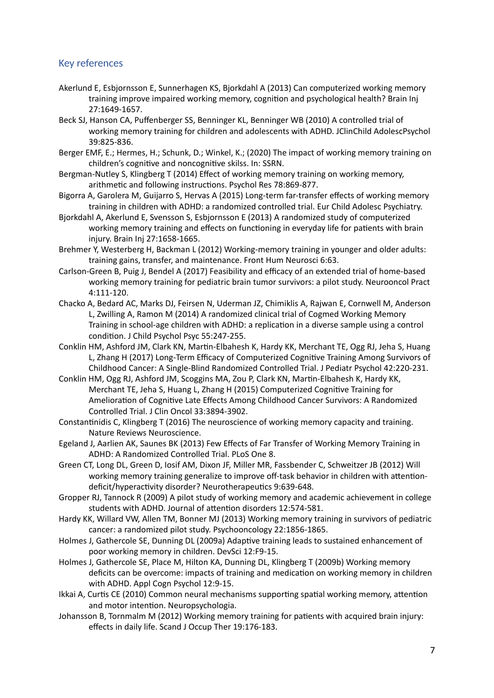#### Key references

- Akerlund E, Esbjornsson E, Sunnerhagen KS, Bjorkdahl A (2013) Can computerized working memory training improve impaired working memory, cognition and psychological health? Brain Inj 27:1649-1657.
- Beck SJ, Hanson CA, Puffenberger SS, Benninger KL, Benninger WB (2010) A controlled trial of working memory training for children and adolescents with ADHD. JClinChild AdolescPsychol 39:825-836.
- Berger EMF, E.; Hermes, H.; Schunk, D.; Winkel, K.; (2020) The impact of working memory training on children's cognitive and noncognitive skilss. In: SSRN.
- Bergman-Nutley S, Klingberg T (2014) Effect of working memory training on working memory, arithmetic and following instructions. Psychol Res 78:869-877.
- Bigorra A, Garolera M, Guijarro S, Hervas A (2015) Long-term far-transfer effects of working memory training in children with ADHD: a randomized controlled trial. Eur Child Adolesc Psychiatry.
- Bjorkdahl A, Akerlund E, Svensson S, Esbjornsson E (2013) A randomized study of computerized working memory training and effects on functioning in everyday life for patients with brain injury. Brain Inj 27:1658-1665.
- Brehmer Y, Westerberg H, Backman L (2012) Working-memory training in younger and older adults: training gains, transfer, and maintenance. Front Hum Neurosci 6:63.
- Carlson-Green B, Puig J, Bendel A (2017) Feasibility and efficacy of an extended trial of home-based working memory training for pediatric brain tumor survivors: a pilot study. Neurooncol Pract 4:111-120.
- Chacko A, Bedard AC, Marks DJ, Feirsen N, Uderman JZ, Chimiklis A, Rajwan E, Cornwell M, Anderson L, Zwilling A, Ramon M (2014) A randomized clinical trial of Cogmed Working Memory Training in school-age children with ADHD: a replication in a diverse sample using a control condition. J Child Psychol Psyc 55:247-255.
- Conklin HM, Ashford JM, Clark KN, Martin-Elbahesh K, Hardy KK, Merchant TE, Ogg RJ, Jeha S, Huang L, Zhang H (2017) Long-Term Efficacy of Computerized Cognitive Training Among Survivors of Childhood Cancer: A Single-Blind Randomized Controlled Trial. J Pediatr Psychol 42:220-231.
- Conklin HM, Ogg RJ, Ashford JM, Scoggins MA, Zou P, Clark KN, Martin-Elbahesh K, Hardy KK, Merchant TE, Jeha S, Huang L, Zhang H (2015) Computerized Cognitive Training for Amelioration of Cognitive Late Effects Among Childhood Cancer Survivors: A Randomized Controlled Trial. J Clin Oncol 33:3894-3902.
- Constantinidis C, Klingberg T (2016) The neuroscience of working memory capacity and training. Nature Reviews Neuroscience.
- Egeland J, Aarlien AK, Saunes BK (2013) Few Effects of Far Transfer of Working Memory Training in ADHD: A Randomized Controlled Trial. PLoS One 8.
- Green CT, Long DL, Green D, Iosif AM, Dixon JF, Miller MR, Fassbender C, Schweitzer JB (2012) Will working memory training generalize to improve off-task behavior in children with attentiondeficit/hyperactivity disorder? Neurotherapeutics 9:639-648.
- Gropper RJ, Tannock R (2009) A pilot study of working memory and academic achievement in college students with ADHD. Journal of attention disorders 12:574-581.
- Hardy KK, Willard VW, Allen TM, Bonner MJ (2013) Working memory training in survivors of pediatric cancer: a randomized pilot study. Psychooncology 22:1856-1865.
- Holmes J, Gathercole SE, Dunning DL (2009a) Adaptive training leads to sustained enhancement of poor working memory in children. DevSci 12:F9-15.
- Holmes J, Gathercole SE, Place M, Hilton KA, Dunning DL, Klingberg T (2009b) Working memory deficits can be overcome: impacts of training and medication on working memory in children with ADHD. Appl Cogn Psychol 12:9-15.
- Ikkai A, Curtis CE (2010) Common neural mechanisms supporting spatial working memory, attention and motor intention. Neuropsychologia.
- Johansson B, Tornmalm M (2012) Working memory training for patients with acquired brain injury: effects in daily life. Scand J Occup Ther 19:176-183.